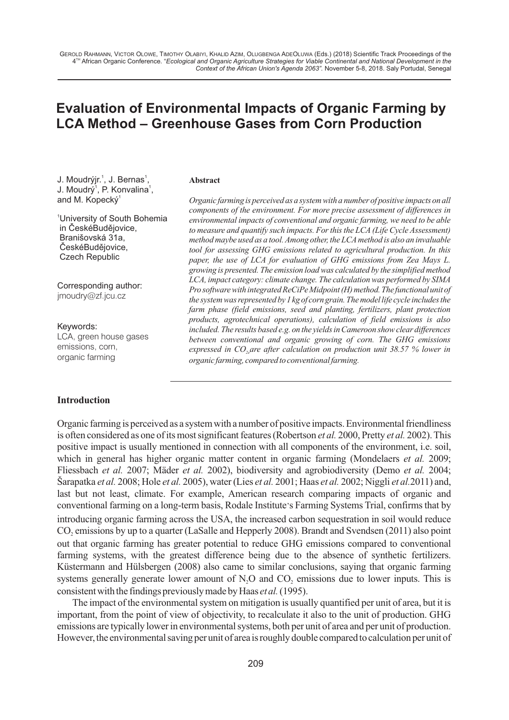# **Evaluation of Environmental Impacts of Organic Farming by LCA Method – Greenhouse Gases from Corn Production**

J. Moudrýjr.<sup>1</sup>, J. Bernas<sup>1</sup>, J. Moudrý<sup>1</sup>, P. Konvalina<sup>1</sup>, and M. Kopecký<sup>1</sup>

<sup>1</sup>University of South Bohemia in ČeskéBudějovice, Branišovská 31a, ČeskéBudějovice, Czech Republic

Corresponding author: jmoudry@zf.jcu.cz

Keywords: LCA, green house gases emissions, corn, organic farming

#### **Introduction**

#### **Abstract**

*Organic farming is perceived as a system with a number of positive impacts on all components of the environment. For more precise assessment of differences in environmental impacts of conventional and organic farming, we need to be able to measure and quantify such impacts. For this the LCA (Life Cycle Assessment) method maybe used as a tool. Among other, the LCAmethod is also an invaluable tool for assessing GHG emissions related to agricultural production. In this paper, the use of LCA for evaluation of GHG emissions from Zea Mays L. growing is presented. The emission load was calculated by the simplified method LCA, impact category: climate change. The calculation was performed by SIMA Pro software with integrated ReCiPe Midpoint (H) method. The functional unit of the system was represented by 1 kg of corn grain. The model life cycle includes the farm phase (field emissions, seed and planting, fertilizers, plant protection products, agrotechnical operations), calculation of field emissions is also included. The results based e.g. on the yields in Cameroon show clear differences between conventional and organic growing of corn. The GHG emissions expressed in CO<sub>2</sub> are after calculation on production unit 38.57 % lower in organic farming, compared to conventional farming.* 

Organic farming is perceived as a system with a number of positive impacts. Environmental friendliness is often considered as one of its most significant features (Robertson *et al.* 2000, Pretty *et al.* 2002). This positive impact is usually mentioned in connection with all components of the environment, i.e. soil, which in general has higher organic matter content in organic farming (Mondelaers *et al.* 2009; Fliessbach *et al.* 2007; Mäder *et al.* 2002), biodiversity and agrobiodiversity (Demo *et al.* 2004; Šarapatka *et al.* 2008; Hole *et al.* 2005), water (Lies *et al.* 2001; Haas *et al.* 2002; Niggli *et al.*2011) and, last but not least, climate. For example, American research comparing impacts of organic and conventional farming on a long-term basis, Rodale Institute's Farming Systems Trial, confirms that by introducing organic farming across the USA, the increased carbon sequestration in soil would reduce CO<sub>2</sub> emissions by up to a quarter (LaSalle and Hepperly 2008). Brandt and Svendsen (2011) also point out that organic farming has greater potential to reduce GHG emissions compared to conventional farming systems, with the greatest difference being due to the absence of synthetic fertilizers. Küstermann and Hülsbergen (2008) also came to similar conclusions, saying that organic farming systems generally generate lower amount of  $N<sub>2</sub>O$  and  $CO<sub>2</sub>$  emissions due to lower inputs. This is consistent with the findings previously made by Haas *et al.*(1995).

The impact of the environmental system on mitigation is usually quantified per unit of area, but it is important, from the point of view of objectivity, to recalculate it also to the unit of production. GHG emissions are typically lower in environmental systems, both per unit of area and per unit of production. However, the environmental saving per unit of area is roughly double compared to calculation per unit of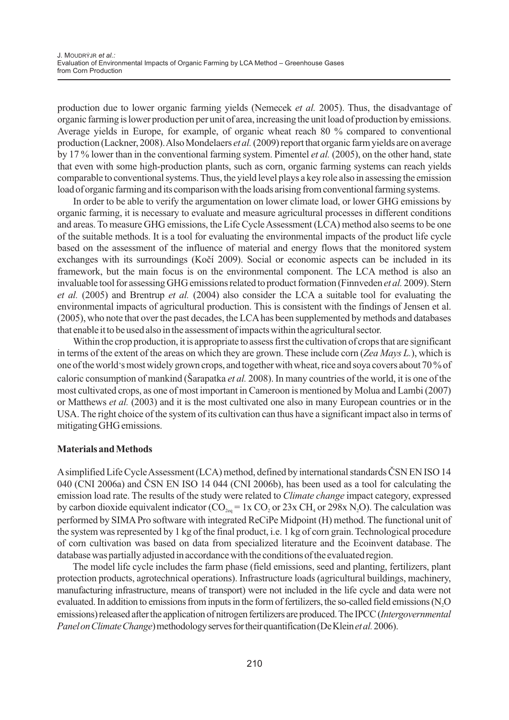production due to lower organic farming yields (Nemecek *et al.* 2005). Thus, the disadvantage of organic farming is lower production per unit of area, increasing the unit load of production by emissions. Average yields in Europe, for example, of organic wheat reach 80 % compared to conventional production (Lackner, 2008). Also Mondelaers *et al.*(2009) report that organic farm yields are on average by 17 % lower than in the conventional farming system. Pimentel *et al.* (2005), on the other hand, state that even with some high-production plants, such as corn, organic farming systems can reach yields comparable to conventional systems. Thus, the yield level plays a key role also in assessing the emission load of organic farming and its comparison with the loads arising from conventional farming systems.

In order to be able to verify the argumentation on lower climate load, or lower GHG emissions by organic farming, it is necessary to evaluate and measure agricultural processes in different conditions and areas. To measure GHG emissions, the Life Cycle Assessment (LCA) method also seems to be one of the suitable methods. It is a tool for evaluating the environmental impacts of the product life cycle based on the assessment of the influence of material and energy flows that the monitored system exchanges with its surroundings (Kočí 2009). Social or economic aspects can be included in its framework, but the main focus is on the environmental component. The LCA method is also an invaluable tool for assessing GHG emissions related to product formation (Finnveden *et al.* 2009). Stern *et al.* (2005) and Brentrup *et al.* (2004) also consider the LCA a suitable tool for evaluating the environmental impacts of agricultural production. This is consistent with the findings of Jensen et al. (2005), who note that over the past decades, the LCAhas been supplemented by methods and databases that enable it to be used also in the assessment of impacts within the agricultural sector.

Within the crop production, it is appropriate to assess first the cultivation of crops that are significant in terms of the extent of the areas on which they are grown. These include corn (*Zea Mays L.*), which is one of the world's most widely grown crops, and together with wheat, rice and soya covers about 70 % of caloric consumption of mankind (Šarapatka *et al.* 2008). In many countries of the world, it is one of the most cultivated crops, as one of most important in Cameroon is mentioned by Molua and Lambi (2007) or Matthews *et al.* (2003) and it is the most cultivated one also in many European countries or in the USA. The right choice of the system of its cultivation can thus have a significant impact also in terms of mitigating GHG emissions.

## **Materials and Methods**

Asimplified Life Cycle Assessment (LCA) method, defined by international standards ÈSN EN ISO 14 040 (CNI 2006a) and ÈSN EN ISO 14 044 (CNI 2006b), has been used as a tool for calculating the emission load rate. The results of the study were related to *Climate change* impact category, expressed by carbon dioxide equivalent indicator ( $CO<sub>2eq</sub> = 1x CO<sub>2</sub>$  or 23x CH<sub>4</sub> or 298x N<sub>2</sub>O). The calculation was performed by SIMAPro software with integrated ReCiPe Midpoint (H) method. The functional unit of the system was represented by 1 kg of the final product, i.e. 1 kg of corn grain. Technological procedure of corn cultivation was based on data from specialized literature and the Ecoinvent database. The database was partially adjusted in accordance with the conditions of the evaluated region.

The model life cycle includes the farm phase (field emissions, seed and planting, fertilizers, plant protection products, agrotechnical operations). Infrastructure loads (agricultural buildings, machinery, manufacturing infrastructure, means of transport) were not included in the life cycle and data were not evaluated. In addition to emissions from inputs in the form of fertilizers, the so-called field emissions ( $N_2O$ emissions) released after the application of nitrogen fertilizers are produced. The IPCC (*Intergovernmental PanelonClimateChange*)methodologyservesfortheirquantification(DeKlein*etal.*2006).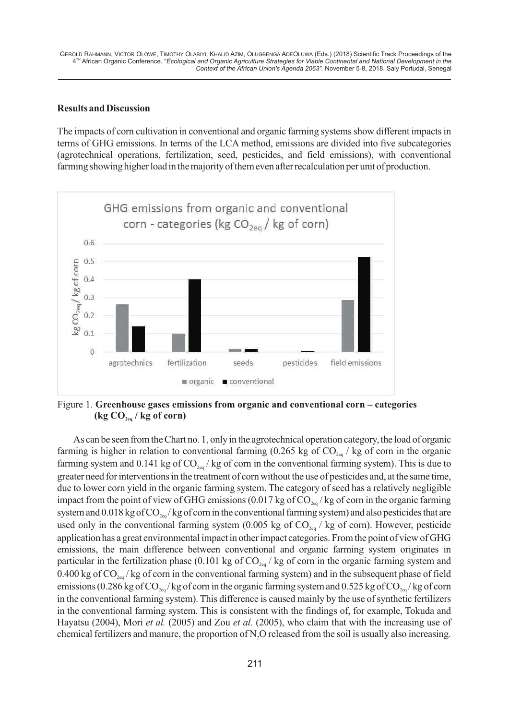### **Results and Discussion**

The impacts of corn cultivation in conventional and organic farming systems show different impacts in terms of GHG emissions. In terms of the LCA method, emissions are divided into five subcategories (agrotechnical operations, fertilization, seed, pesticides, and field emissions), with conventional farming showing higher load in the majority of them even after recalculation per unit of production.



Figure 1. **Greenhouse gases emissions from organic and conventional corn – categories**   $(\text{kg CO}_{\text{2e}q} / \text{kg of corn})$ 

As can be seen from the Chart no. 1, only in the agrotechnical operation category, the load of organic farming is higher in relation to conventional farming (0.265 kg of  $CO<sub>2eq</sub>$  / kg of corn in the organic farming system and 0.141 kg of  $CO<sub>200</sub>$ /kg of corn in the conventional farming system). This is due to greater need for interventions in the treatment of corn without the use of pesticides and, at the same time, due to lower corn yield in the organic farming system. The category of seed has a relatively negligible impact from the point of view of GHG emissions (0.017 kg of CO<sub>2eq</sub>/kg of corn in the organic farming system and 0.018 kg of  $CO_{20}$ /kg of corn in the conventional farming system) and also pesticides that are used only in the conventional farming system (0.005 kg of  $CO<sub>2eq</sub>$  / kg of corn). However, pesticide application has a great environmental impact in other impact categories. From the point of view of GHG emissions, the main difference between conventional and organic farming system originates in particular in the fertilization phase (0.101 kg of  $CO<sub>2eq</sub>$  / kg of corn in the organic farming system and 0.400 kg of  $CO_{2eq}$  / kg of corn in the conventional farming system) and in the subsequent phase of field emissions (0.286 kg of CO<sub>2eq</sub>/kg of corn in the organic farming system and 0.525 kg of CO<sub>2eq</sub>/kg of corn in the conventional farming system). This difference is caused mainly by the use of synthetic fertilizers in the conventional farming system. This is consistent with the findings of, for example, Tokuda and Hayatsu (2004), Mori *et al.* (2005) and Zou *et al.* (2005), who claim that with the increasing use of chemical fertilizers and manure, the proportion of N,O released from the soil is usually also increasing.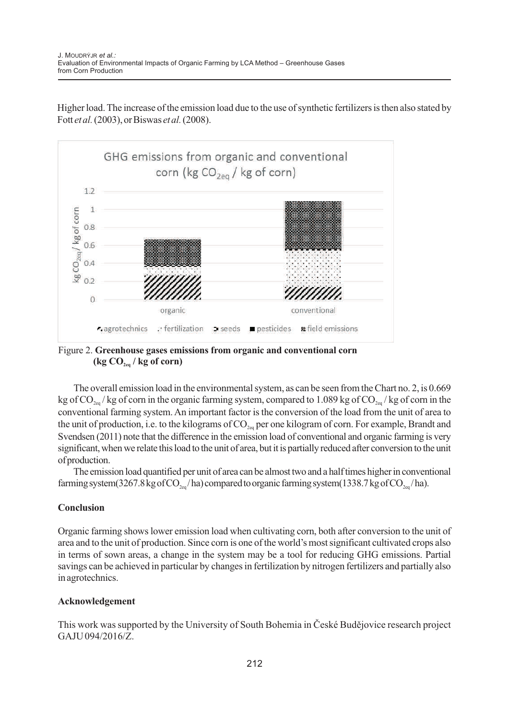Higher load. The increase of the emission load due to the use of synthetic fertilizers is then also stated by Fott *et al.*(2003), or Biswas *et al.*(2008).



Figure 2. **Greenhouse gases emissions from organic and conventional corn**  $(\text{kg CO}_{2\text{eq}} / \text{kg of corn})$ 

The overall emission load in the environmental system, as can be seen from the Chart no. 2, is 0.669 kg of CO<sub>2eq</sub>/kg of corn in the organic farming system, compared to 1.089 kg of CO<sub>2eq</sub>/kg of corn in the conventional farming system. An important factor is the conversion of the load from the unit of area to the unit of production, i.e. to the kilograms of  $CO_{2eq}$  per one kilogram of corn. For example, Brandt and Svendsen (2011) note that the difference in the emission load of conventional and organic farming is very significant, when we relate this load to the unit of area, but it is partially reduced after conversion to the unit ofproduction.

The emission load quantified per unit of area can be almost two and a half times higher in conventional farming system(3267.8 kg of CO<sub>2eq</sub>/ha) compared to organic farming system(1338.7 kg of CO<sub>2eq</sub>/ha).

# **Conclusion**

Organic farming shows lower emission load when cultivating corn, both after conversion to the unit of area and to the unit of production. Since corn is one of the world's most significant cultivated crops also in terms of sown areas, a change in the system may be a tool for reducing GHG emissions. Partial savings can be achieved in particular by changes in fertilization by nitrogen fertilizers and partially also in agrotechnics.

# **Acknowledgement**

This work was supported by the University of South Bohemia in České Budějovice research project GAJU 094/2016/Z.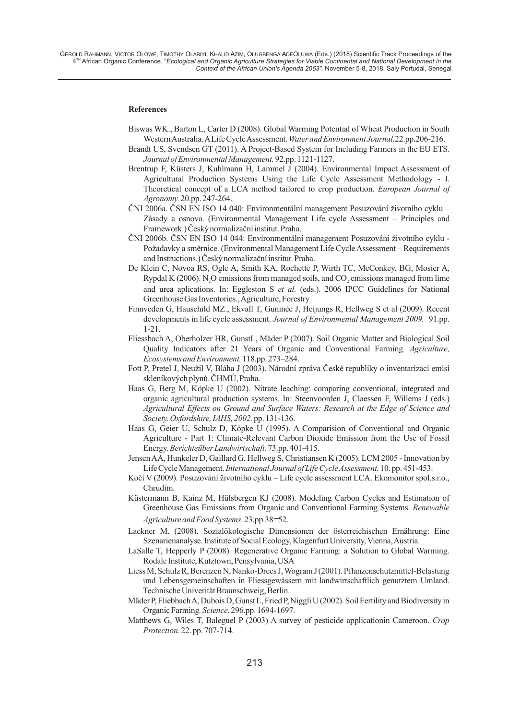GEROLD RAHMANN, VICTOR OLOWE, TIMOTHY OLABIYI, KHALID AZIM, OLUGBENGA ADEOLUWA (Eds.) (2018) Scientific Track Proceedings of the <sup>H</sup> African Organic Conference. "Ecological and Organic Agriculture Strategies for Viable Continental and National Development in the *Context of the African Union's Agenda 2063".* November 5-8, 2018. Saly Portudal, Senegal

#### **References**

- Biswas WK., Barton L, Carter D (2008). Global Warming Potential of Wheat Production in South Western Australia. ALife Cycle Assessment. *Water and Environment Journal.*22.pp.206-216.
- Brandt US, Svendsen GT (2011). A Project-Based System for Including Farmers in the EU ETS. *Journal of Environmental Management.*92.pp. 1121-1127.
- Brentrup F, Küsters J, Kuhlmann H, Lammel J (2004). Environmental Impact Assessment of Agricultural Production Systems Using the Life Cycle Assessment Methodology - I. Theoretical concept of a LCA method tailored to crop production. *European Journal of Agronomy.* 20.pp. 247-264.
- ÈNI 2006a. ÈSN EN ISO 14 040: Environmentální management Posuzování životního cyklu Zásady a osnova. (Environmental Management Life cycle Assessment – Principles and Framework.) Èeský normalizaèní institut. Praha.
- ÈNI 2006b. ÈSN EN ISO 14 044: Environmentální management Posuzování životního cyklu Požadavky a směrnice. (Environmental Management Life Cycle Assessment – Requirements and Instructions.) Èeský normalizaèní institut. Praha.
- De Klein C, Novoa RS, Ogle A, Smith KA, Rochette P, Wirth TC, McConkey, BG, Mosier A, Rypdal K (2006). N<sub>2</sub>O emissions from managed soils, and CO<sub>2</sub> emissions managed from lime and urea aplications. In: Eggleston S *et al.* (eds.). 2006 IPCC Guidelines for National Greenhouse Gas Inventories., Agriculture, Forestry
- Finnveden G, Hauschild MZ., Ekvall T, Guninée J, Heijungs R, Hellweg S et al (2009). Recent developments in life cycle assessment. *Journal of Environmental Management 2009.* 91.pp. 1-21.
- Fliessbach A, Oberholzer HR, GunstL, Mäder P (2007). Soil Organic Matter and Biological Soil Quality Indicators after 21 Years of Organic and Conventional Farming. *Agriculture, Ecosystems and Environment.*118.pp. 273–284.
- Fott P, Pretel J, Neužil V, Bláha J (2003). Národní zpráva Èeské republiky o inventarizaci emisí skleníkových plynù. ÈHMÚ, Praha.
- Haas G, Berg M, Köpke U (2002). Nitrate leaching: comparing conventional, integrated and organic agricultural production systems. In: Steenvoorden J, Claessen F, Willems J (eds.) *Agricultural Effects on Ground and Surface Waters: Research at the Edge of Science and Society. Oxfordshire, IAHS, 2002.*pp. 131-136.
- Haas G, Geier U, Schulz D, Köpke U (1995). A Comparision of Conventional and Organic Agriculture - Part 1: Climate-Relevant Carbon Dioxide Emission from the Use of Fossil Energy. *Berichteüber Landwirtschaft.* 73.pp. 401-415.
- Jensen AA, Hunkeler D, Gaillard G, Hellweg S, Christiansen K (2005). LCM 2005 Innovation by Life Cycle Management. *International Journal of Life Cycle Assessment.*10. pp. 451-453.
- Koèí V (2009). Posuzování životního cyklu Life cycle assessment LCA. Ekomonitor spol.s.r.o., Chrudim.
- Küstermann B, Kainz M, Hülsbergen KJ (2008). Modeling Carbon Cycles and Estimation of Greenhouse Gas Emissions from Organic and Conventional Farming Systems. *Renewable Agriculture and Food Systems.* 23.pp.38–52.
- Lackner M. (2008). Sozialökologische Dimensionen der österreichischen Ernährung: Eine Szenarienanalyse. Institute of Social Ecology, Klagenfurt University, Vienna, Austria.
- LaSalle T, Hepperly P (2008). Regenerative Organic Farming: a Solution to Global Warming. Rodale Institute, Kutztown, Pensylvania, USA
- Technische Univerität Braunschweig, Berlin. Liess M, Schulz R, Berenzen N, Nanko-Drees J, Wogram J (2001). Pflanzenschutzmittel-Belastung und Lebensgemeinschaften in Fliessgewässern mit landwirtschaftlich genutztem Umland.
- Mäder P, Fliebbach A, Dubois D, Gunst L, Fried P, Niggli U (2002). Soil Fertility and Biodiversity in Organic Farming*. Science.* 296.pp. 1694-1697.
- Matthews G, Wiles T, Baleguel P (2003) A survey of pesticide applicationin Cameroon. *Crop Protection.* 22. pp. 707-714.